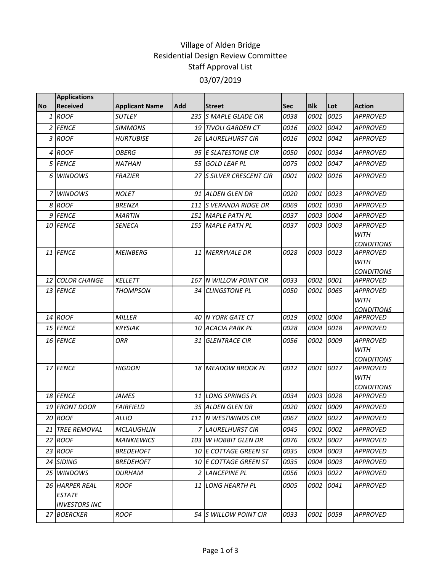## Village of Alden Bridge Residential Design Review Committee Staff Approval List 03/07/2019

|           | <b>Applications</b>                                     |                       |     |                                      |            |            |           |                                                     |
|-----------|---------------------------------------------------------|-----------------------|-----|--------------------------------------|------------|------------|-----------|-----------------------------------------------------|
| <b>No</b> | <b>Received</b>                                         | <b>Applicant Name</b> | Add | <b>Street</b>                        | <b>Sec</b> | <b>Blk</b> | Lot       | <b>Action</b>                                       |
|           | 1 ROOF                                                  | <b>SUTLEY</b>         |     | 235 S MAPLE GLADE CIR                | 0038       | 0001       | 0015      | <b>APPROVED</b>                                     |
|           | 2 FENCE                                                 | <b>SIMMONS</b>        |     | 19 TIVOLI GARDEN CT                  | 0016       | 0002       | 0042      | <b>APPROVED</b>                                     |
|           | 3 ROOF                                                  | <b>HURTUBISE</b>      |     | 26 LAURELHURST CIR                   | 0016       | 0002       | 0042      | <b>APPROVED</b>                                     |
|           | 4 ROOF                                                  | OBERG                 |     | 95 E SLATESTONE CIR                  | 0050       | 0001       | 0034      | <b>APPROVED</b>                                     |
|           | 5 FENCE                                                 | <b>NATHAN</b>         |     | 55 GOLD LEAF PL                      | 0075       | 0002       | 0047      | <b>APPROVED</b>                                     |
| 6         | <b>WINDOWS</b>                                          | <b>FRAZIER</b>        | 27  | <b>S SILVER CRESCENT CIR</b>         | 0001       | 0002       | 0016      | <b>APPROVED</b>                                     |
|           | <b>WINDOWS</b>                                          | <b>NOLET</b>          |     | 91 ALDEN GLEN DR                     | 0020       | 0001       | 0023      | <b>APPROVED</b>                                     |
|           | 8 ROOF                                                  | <b>BRENZA</b>         |     | 111 IS VERANDA RIDGE DR              | 0069       | 0001       | 0030      | <b>APPROVED</b>                                     |
|           | 9 FENCE                                                 | <b>MARTIN</b>         |     | 151 MAPLE PATH PL                    | 0037       | 0003       | 0004      | <b>APPROVED</b>                                     |
|           | 10 FENCE                                                | <b>SENECA</b>         |     | 155 MAPLE PATH PL                    | 0037       | 0003       | 0003      | <b>APPROVED</b><br><b>WITH</b><br><b>CONDITIONS</b> |
|           | 11 FENCE                                                | <b>MEINBERG</b>       |     | 11 MERRYVALE DR                      | 0028       | 0003       | 0013      | <b>APPROVED</b><br><b>WITH</b><br><b>CONDITIONS</b> |
|           | 12 COLOR CHANGE                                         | <b>KELLETT</b>        |     | 167 N WILLOW POINT CIR               | 0033       | 0002       | 0001      | <b>APPROVED</b>                                     |
|           | 13 FENCE                                                | <b>THOMPSON</b>       |     | 34 CLINGSTONE PL                     | 0050       | 0001       | 0065      | <b>APPROVED</b><br><b>WITH</b><br><b>CONDITIONS</b> |
|           | $14$ ROOF                                               | <b>MILLER</b>         |     | 40 N YORK GATE CT                    | 0019       | 0002       | 0004      | <b>APPROVED</b>                                     |
|           | 15 FENCE                                                | <b>KRYSIAK</b>        |     | 10 ACACIA PARK PL                    | 0028       | 0004       | 0018      | <b>APPROVED</b>                                     |
|           | 16 FENCE                                                | ORR                   |     | 31 GLENTRACE CIR                     | 0056       | 0002       | 0009      | <b>APPROVED</b><br><b>WITH</b><br><b>CONDITIONS</b> |
|           | 17 FENCE                                                | <b>HIGDON</b>         |     | 18 MEADOW BROOK PL                   | 0012       | 0001       | 0017      | <b>APPROVED</b><br><b>WITH</b><br><b>CONDITIONS</b> |
|           | 18 FENCE                                                | <b>JAMES</b>          |     | 11 LONG SPRINGS PL                   | 0034       | 0003       | 0028      | <b>APPROVED</b>                                     |
|           | 19 FRONT DOOR                                           | <b>FAIRFIELD</b>      |     | 35 ALDEN GLEN DR                     | 0020       | 0001       | 0009      | <b>APPROVED</b>                                     |
|           | 20 ROOF                                                 | <b>ALLIO</b>          |     | 111 N WESTWINDS CIR                  | 0067       |            | 0002 0022 | <b>APPROVED</b>                                     |
|           | 21 TREE REMOVAL                                         | <b>MCLAUGHLIN</b>     |     | 7 LAURELHURST CIR                    | 0045       | 0001       | 0002      | <b>APPROVED</b>                                     |
|           | 22 ROOF                                                 | <b>MANKIEWICS</b>     |     | 103 W HOBBIT GLEN DR                 | 0076       | 0002       | 0007      | <b>APPROVED</b>                                     |
|           | 23 ROOF                                                 | <b>BREDEHOFT</b>      |     | 10 E COTTAGE GREEN ST                | 0035       | 0004       | 0003      | <b>APPROVED</b>                                     |
|           | 24 SIDING                                               | <b>BREDEHOFT</b>      |     | <i><b>10 LE COTTAGE GREEN ST</b></i> | 0035       | 0004       | 0003      | <b>APPROVED</b>                                     |
|           | 25 WINDOWS                                              | <b>DURHAM</b>         |     | 2 LANCEPINE PL                       | 0056       | 0003       | 0022      | <b>APPROVED</b>                                     |
|           | 26 HARPER REAL<br><b>ESTATE</b><br><b>INVESTORS INC</b> | <b>ROOF</b>           |     | 11 LONG HEARTH PL                    | 0005       | 0002       | 0041      | <b>APPROVED</b>                                     |
|           | 27 BOERCKER                                             | <b>ROOF</b>           |     | 54 S WILLOW POINT CIR                | 0033       | 0001       | 0059      | <b>APPROVED</b>                                     |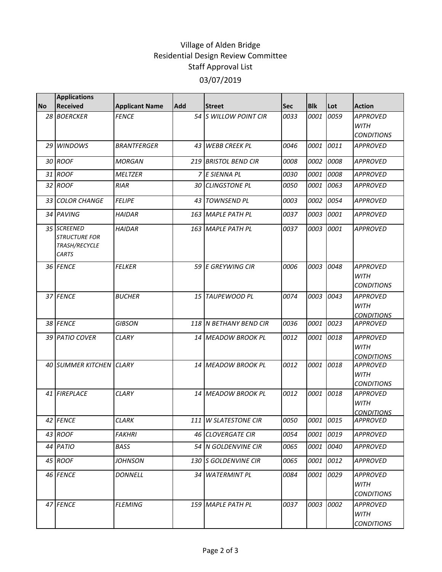## Village of Alden Bridge Residential Design Review Committee Staff Approval List 03/07/2019

|           | <b>Applications</b>                                                  |                       |            |                         |            |             |      |                                                     |
|-----------|----------------------------------------------------------------------|-----------------------|------------|-------------------------|------------|-------------|------|-----------------------------------------------------|
| <b>No</b> | <b>Received</b>                                                      | <b>Applicant Name</b> | <b>Add</b> | <b>Street</b>           | <b>Sec</b> | <b>Blk</b>  | Lot  | <b>Action</b>                                       |
|           | 28 BOERCKER                                                          | <b>FENCE</b>          |            | 54 S WILLOW POINT CIR   | 0033       | 0001        | 0059 | <b>APPROVED</b><br><b>WITH</b><br><b>CONDITIONS</b> |
|           | 29 WINDOWS                                                           | <b>BRANTFERGER</b>    |            | 43 WEBB CREEK PL        | 0046       | 0001        | 0011 | <b>APPROVED</b>                                     |
|           | 30 ROOF                                                              | <b>MORGAN</b>         |            | 219 BRISTOL BEND CIR    | 0008       | 0002        | 0008 | <b>APPROVED</b>                                     |
|           | 31 ROOF                                                              | <b>MELTZER</b>        |            | 7 E SIENNA PL           | 0030       | 0001        | 0008 | <b>APPROVED</b>                                     |
|           | 32 ROOF                                                              | <b>RIAR</b>           |            | 30 CLINGSTONE PL        | 0050       | 0001        | 0063 | <b>APPROVED</b>                                     |
|           | 33 COLOR CHANGE                                                      | <b>FELIPE</b>         |            | 43 TOWNSEND PL          | 0003       | 0002        | 0054 | <b>APPROVED</b>                                     |
|           | 34 PAVING                                                            | <b>HAIDAR</b>         |            | 163 MAPLE PATH PL       | 0037       | 0003        | 0001 | <b>APPROVED</b>                                     |
|           | 35 SCREENED<br><b>STRUCTURE FOR</b><br>TRASH/RECYCLE<br><b>CARTS</b> | <b>HAIDAR</b>         |            | 163 MAPLE PATH PL       | 0037       | 0003        | 0001 | <b>APPROVED</b>                                     |
|           | 36 FENCE                                                             | <b>FELKER</b>         |            | 59 E GREYWING CIR       | 0006       | 0003        | 0048 | <b>APPROVED</b><br><b>WITH</b><br><b>CONDITIONS</b> |
|           | 37 FENCE                                                             | <b>BUCHER</b>         |            | 15 TAUPEWOOD PL         | 0074       | 0003        | 0043 | <b>APPROVED</b><br><b>WITH</b><br><b>CONDITIONS</b> |
|           | 38 FENCE                                                             | <b>GIBSON</b>         |            | 118 IN BETHANY BEND CIR | 0036       | 0001        | 0023 | <b>APPROVED</b>                                     |
|           | 39 PATIO COVER                                                       | <b>CLARY</b>          |            | 14 MEADOW BROOK PL      | 0012       | <i>0001</i> | 0018 | <b>APPROVED</b><br><b>WITH</b><br><b>CONDITIONS</b> |
|           | 40 SUMMER KITCHEN CLARY                                              |                       |            | 14 MEADOW BROOK PL      | 0012       | 0001        | 0018 | <b>APPROVED</b><br><b>WITH</b><br><b>CONDITIONS</b> |
|           | 41 FIREPLACE                                                         | <b>CLARY</b>          |            | 14 MEADOW BROOK PL      | 0012       | 0001        | 0018 | <b>APPROVED</b><br><b>WITH</b><br><b>CONDITIONS</b> |
|           | 42 FENCE                                                             | <b>CLARK</b>          |            | 111 W SLATESTONE CIR    | 0050       | 0001 0015   |      | <b>APPROVED</b>                                     |
|           | 43 ROOF                                                              | <b>FAKHRI</b>         |            | 46 CLOVERGATE CIR       | 0054       | 0001        | 0019 | <b>APPROVED</b>                                     |
|           | 44 PATIO                                                             | BASS                  |            | 54 N GOLDENVINE CIR     | 0065       | 0001        | 0040 | <b>APPROVED</b>                                     |
|           | 45 ROOF                                                              | <b>JOHNSON</b>        |            | 130 S GOLDENVINE CIR    | 0065       | 0001        | 0012 | <b>APPROVED</b>                                     |
|           | 46 FENCE                                                             | <b>DONNELL</b>        |            | 34 WATERMINT PL         | 0084       | 0001        | 0029 | <b>APPROVED</b><br>WITH<br><b>CONDITIONS</b>        |
|           | 47 FENCE                                                             | <b>FLEMING</b>        |            | 159 MAPLE PATH PL       | 0037       | 0003        | 0002 | <b>APPROVED</b><br>WITH<br><b>CONDITIONS</b>        |